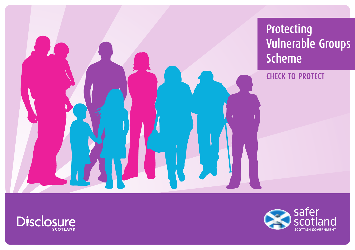Protecting Vulnerable Groups **Scheme** 

**CHECK TO PROTECT** 



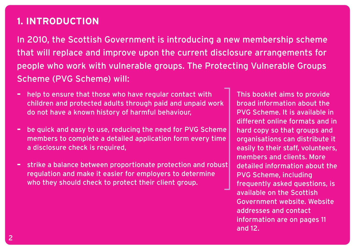## **1. INTRODUCTION**

In 2010, the Scottish Government is introducing a new membership scheme that will replace and improve upon the current disclosure arrangements for people who work with vulnerable groups. The Protecting Vulnerable Groups Scheme (PVG Scheme) will:

- **–** help to ensure that those who have regular contact with children and protected adults through paid and unpaid work do not have a known history of harmful behaviour,
- **–** be quick and easy to use, reducing the need for PVG Scheme members to complete a detailed application form every time a disclosure check is required,
- **–** strike a balance between proportionate protection and robust regulation and make it easier for employers to determine who they should check to protect their client group.

This booklet aims to provide broad information about the PVG Scheme. It is available in different online formats and in hard copy so that groups and organisations can distribute it easily to their staff, volunteers, members and clients. More detailed information about the PVG Scheme, including frequently asked questions, is available on the Scottish Government website. Website addresses and contact information are on pages 11 and 12.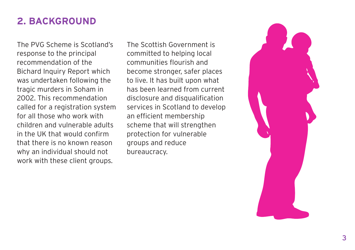## **2. BACKGROUND**

The PVG Scheme is Scotland's response to the principal recommendation of the Bichard Inquiry Report which was undertaken following the tragic murders in Soham in 2002. This recommendation called for a registration system for all those who work with children and vulnerable adults in the UK that would confirm that there is no known reason why an individual should not work with these client groups.

The Scottish Government is committed to helping local communities flourish and become stronger, safer places to live. It has built upon what has been learned from current disclosure and disqualification services in Scotland to develop an efficient membership scheme that will strengthen protection for vulnerable groups and reduce bureaucracy.

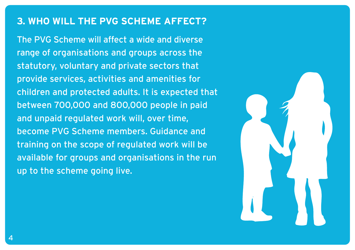#### **3. WHO WILL THE PVG SCHEME AFFECT?**

The PVG Scheme will affect a wide and diverse range of organisations and groups across the statutory, voluntary and private sectors that provide services, activities and amenities for children and protected adults. It is expected that between 700,000 and 800,000 people in paid and unpaid regulated work will, over time, become PVG Scheme members. Guidance and training on the scope of regulated work will be available for groups and organisations in the run up to the scheme going live.

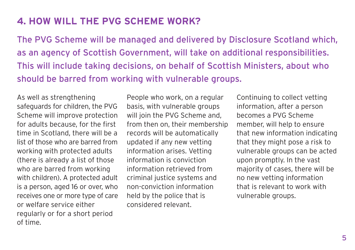## **4. HOW WILL THE PVG SCHEME WORK?**

The PVG Scheme will be managed and delivered by Disclosure Scotland which, as an agency of Scottish Government, will take on additional responsibilities. This will include taking decisions, on behalf of Scottish Ministers, about who should be barred from working with vulnerable groups.

As well as strengthening safeguards for children, the PVG Scheme will improve protection for adults because, for the first time in Scotland, there will be a list of those who are barred from working with protected adults (there is already a list of those who are barred from working with children). A protected adult is a person, aged 16 or over, who receives one or more type of care or welfare service either regularly or for a short period of time.

People who work, on a regular basis, with vulnerable groups will join the PVG Scheme and, from then on, their membership records will be automatically updated if any new vetting information arises. Vetting information is conviction information retrieved from criminal justice systems and non-conviction information held by the police that is considered relevant.

Continuing to collect vetting information, after a person becomes a PVG Scheme member, will help to ensure that new information indicating that they might pose a risk to vulnerable groups can be acted upon promptly. In the vast majority of cases, there will be no new vetting information that is relevant to work with vulnerable groups.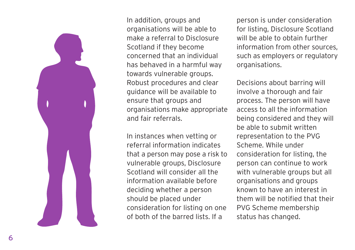

In addition, groups and organisations will be able to make a referral to Disclosure Scotland if they become concerned that an individual has behaved in a harmful way towards vulnerable groups. Robust procedures and clear guidance will be available to ensure that groups and organisations make appropriate and fair referrals.

In instances when vetting or referral information indicates that a person may pose a risk to vulnerable groups, Disclosure Scotland will consider all the information available before deciding whether a person should be placed under consideration for listing on one of both of the barred lists. If a

person is under consideration for listing, Disclosure Scotland will be able to obtain further information from other sources, such as employers or regulatory organisations.

Decisions about barring will involve a thorough and fair process. The person will have access to all the information being considered and they will be able to submit written representation to the PVG Scheme. While under consideration for listing, the person can continue to work with vulnerable groups but all organisations and groups known to have an interest in them will be notified that their PVG Scheme membership status has changed.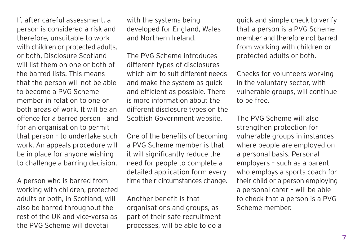If, after careful assessment, a person is considered a risk and therefore, unsuitable to work with children or protected adults, or both, Disclosure Scotland will list them on one or both of the barred lists. This means that the person will not be able to become a PVG Scheme member in relation to one or both areas of work. It will be an offence for a barred person – and for an organisation to permit that person – to undertake such work. An appeals procedure will be in place for anyone wishing to challenge a barring decision.

A person who is barred from working with children, protected adults or both, in Scotland, will also be barred throughout the rest of the UK and vice-versa as the PVG Scheme will dovetail

with the systems being developed for England, Wales and Northern Ireland.

The PVG Scheme introduces different types of disclosures which aim to suit different needs and make the system as quick and efficient as possible. There is more information about the different disclosure types on the Scottish Government website.

One of the benefits of becoming a PVG Scheme member is that it will significantly reduce the need for people to complete a detailed application form every time their circumstances change.

Another benefit is that organisations and groups, as part of their safe recruitment processes, will be able to do a quick and simple check to verify that a person is a PVG Scheme member and therefore not barred from working with children or protected adults or both.

Checks for volunteers working in the voluntary sector, with vulnerable groups, will continue to be free.

The PVG Scheme will also strengthen protection for vulnerable groups in instances where people are employed on a personal basis. Personal employers – such as a parent who employs a sports coach for their child or a person employing a personal carer – will be able to check that a person is a PVG Scheme member.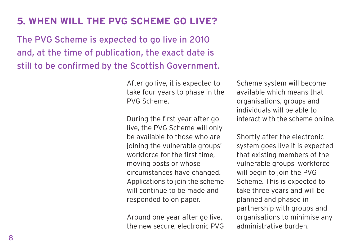# **5. WHEN WILL THE PVG SCHEME GO LIVE?**

The PVG Scheme is expected to go live in 2010 and, at the time of publication, the exact date is still to be confirmed by the Scottish Government.

> After go live, it is expected to take four years to phase in the PVG Scheme.

> During the first year after go live, the PVG Scheme will only be available to those who are joining the vulnerable groups' workforce for the first time, moving posts or whose circumstances have changed. Applications to join the scheme will continue to be made and responded to on paper.

> Around one year after go live, the new secure, electronic PVG

Scheme system will become available which means that organisations, groups and individuals will be able to interact with the scheme online.

Shortly after the electronic system goes live it is expected that existing members of the vulnerable groups' workforce will begin to join the PVG Scheme. This is expected to take three years and will be planned and phased in partnership with groups and organisations to minimise any administrative burden.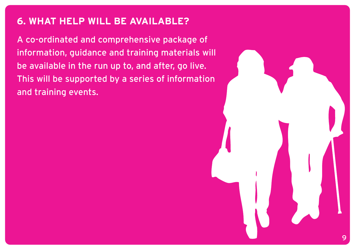### **6. WHAT HELP WILL BE AVAILABLE?**

A co-ordinated and comprehensive package of information, guidance and training materials will be available in the run up to, and after, go live. This will be supported by a series of information and training events.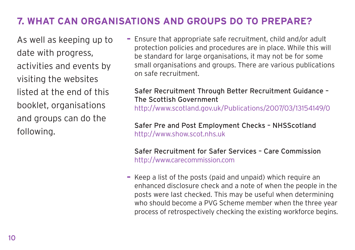## **7. WHAT CAN ORGANISATIONS AND GROUPS DO TO PREPARE?**

As well as keeping up to date with progress, activities and events by visiting the websites listed at the end of this booklet, organisations and groups can do the following.

**–** Ensure that appropriate safe recruitment, child and/or adult protection policies and procedures are in place. While this will be standard for large organisations, it may not be for some small organisations and groups. There are various publications on safe recruitment.

#### Safer Recruitment Through Better Recruitment Guidance – The Scottish Government

http://www.scotland.gov.uk/Publications/2007/03/13154149/0

Safer Pre and Post Employment Checks – NHSScotland http://www.show.scot.nhs.uk

Safer Recruitment for Safer Services – Care Commission http://www.carecommission.com

**–** Keep a list of the posts (paid and unpaid) which require an enhanced disclosure check and a note of when the people in the posts were last checked. This may be useful when determining who should become a PVG Scheme member when the three year process of retrospectively checking the existing workforce begins.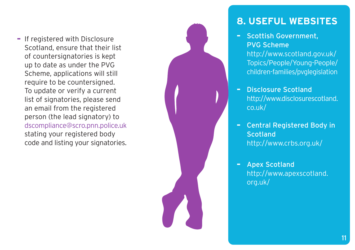**–** If registered with Disclosure Scotland, ensure that their list of countersignatories is kept up to date as under the PVG Scheme, applications will still require to be countersigned. To update or verify a current list of signatories, please send an email from the registered person (the lead signatory) to dscompliance@scro.pnn.police.uk stating your registered body code and listing your signatories.



## **8. USEFUL WEBSITES**

- **–** Scottish Government, PVG Scheme http://www.scotland.gov.uk/ [Topics/People/Young-People/](http://www.scotland.gov.uk/Topics/People/Young-People/children-families/pvglegislation) children-families/pvglegislation
- **–** Disclosure Scotland [http://www.disclosurescotland.](http://www.disclosurescotland.co.uk) co.uk/
- **–** Central Registered Body in **Scotland** <http://www.crbs.org.uk/>
- **–** Apex Scotland [http://www.apexscotland.](http://www.apexscotland.org.uk) org.uk/